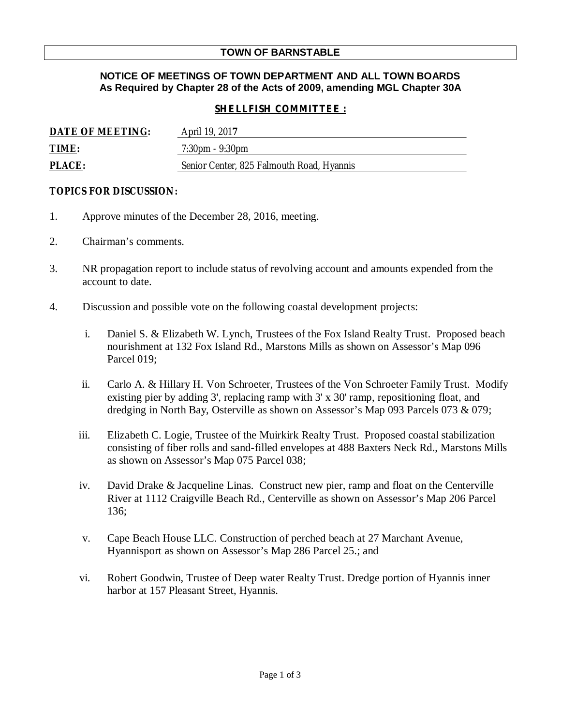# **TOWN OF BARNSTABLE**

## **NOTICE OF MEETINGS OF TOWN DEPARTMENT AND ALL TOWN BOARDS As Required by Chapter 28 of the Acts of 2009, amending MGL Chapter 30A**

### *SHELLFISH COMMITTEE :*

| DATE OF MEETING: | April 19, 2017                            |
|------------------|-------------------------------------------|
| TIME:            | $7:30 \text{pm} - 9:30 \text{pm}$         |
| <b>PLACE:</b>    | Senior Center, 825 Falmouth Road, Hyannis |

#### **TOPICS FOR DISCUSSION:**

- 1. Approve minutes of the December 28, 2016, meeting.
- 2. Chairman's comments.
- 3. NR propagation report to include status of revolving account and amounts expended from the account to date.
- 4. Discussion and possible vote on the following coastal development projects:
	- i. Daniel S. & Elizabeth W. Lynch, Trustees of the Fox Island Realty Trust. Proposed beach nourishment at 132 Fox Island Rd., Marstons Mills as shown on Assessor's Map 096 Parcel 019;
	- ii. Carlo A. & Hillary H. Von Schroeter, Trustees of the Von Schroeter Family Trust. Modify existing pier by adding 3', replacing ramp with 3' x 30' ramp, repositioning float, and dredging in North Bay, Osterville as shown on Assessor's Map 093 Parcels 073 & 079;
	- iii. Elizabeth C. Logie, Trustee of the Muirkirk Realty Trust. Proposed coastal stabilization consisting of fiber rolls and sand-filled envelopes at 488 Baxters Neck Rd., Marstons Mills as shown on Assessor's Map 075 Parcel 038;
	- iv. David Drake & Jacqueline Linas. Construct new pier, ramp and float on the Centerville River at 1112 Craigville Beach Rd., Centerville as shown on Assessor's Map 206 Parcel 136;
	- v. Cape Beach House LLC. Construction of perched beach at 27 Marchant Avenue, Hyannisport as shown on Assessor's Map 286 Parcel 25.; and
	- vi. Robert Goodwin, Trustee of Deep water Realty Trust. Dredge portion of Hyannis inner harbor at 157 Pleasant Street, Hyannis.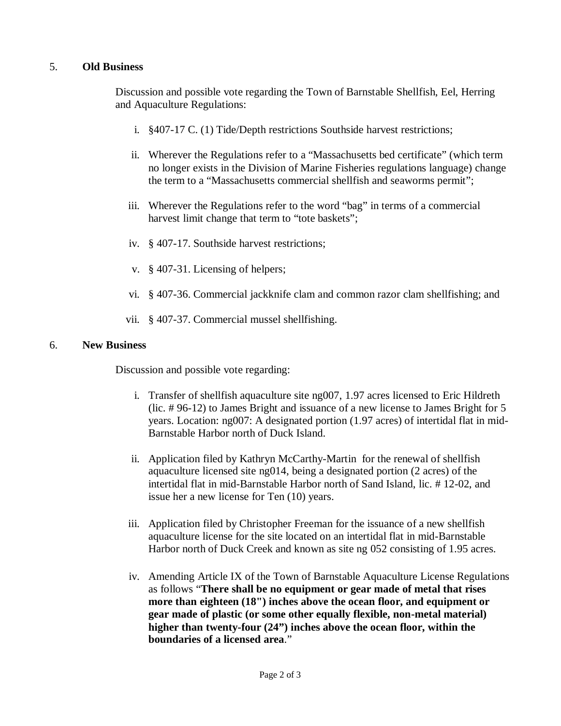# 5. **Old Business**

Discussion and possible vote regarding the Town of Barnstable Shellfish, Eel, Herring and Aquaculture Regulations:

- i. §407-17 C. (1) Tide/Depth restrictions Southside harvest restrictions;
- ii. Wherever the Regulations refer to a "Massachusetts bed certificate" (which term no longer exists in the Division of Marine Fisheries regulations language) change the term to a "Massachusetts commercial shellfish and seaworms permit";
- iii. Wherever the Regulations refer to the word "bag" in terms of a commercial harvest limit change that term to "tote baskets";
- iv. § 407-17. Southside harvest restrictions;
- v. § 407-31. Licensing of helpers;
- vi. § 407-36. Commercial jackknife clam and common razor clam shellfishing; and
- vii. § 407-37. Commercial mussel shellfishing.

#### 6. **New Business**

Discussion and possible vote regarding:

- i. Transfer of shellfish aquaculture site ng007, 1.97 acres licensed to Eric Hildreth (lic. # 96-12) to James Bright and issuance of a new license to James Bright for 5 years. Location: ng007: A designated portion (1.97 acres) of intertidal flat in mid-Barnstable Harbor north of Duck Island.
- ii. Application filed by Kathryn McCarthy-Martin for the renewal of shellfish aquaculture licensed site ng014, being a designated portion (2 acres) of the intertidal flat in mid-Barnstable Harbor north of Sand Island, lic. # 12-02, and issue her a new license for Ten (10) years.
- iii. Application filed by Christopher Freeman for the issuance of a new shellfish aquaculture license for the site located on an intertidal flat in mid-Barnstable Harbor north of Duck Creek and known as site ng 052 consisting of 1.95 acres.
- iv. Amending Article IX of the Town of Barnstable Aquaculture License Regulations as follows "**There shall be no equipment or gear made of metal that rises more than eighteen (18") inches above the ocean floor, and equipment or gear made of plastic (or some other equally flexible, non-metal material) higher than twenty-four (24") inches above the ocean floor, within the boundaries of a licensed area**."